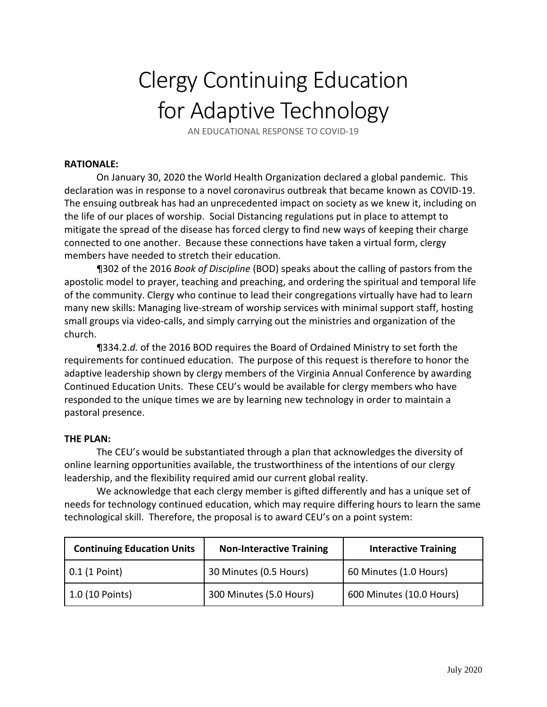## Clergy Continuing Education for Adaptive Technology

AN EDUCATIONAL RESPONSE TO COVID‐19

## **RATIONALE:**

On January 30, 2020 the World Health Organization declared a global pandemic. This declaration was in response to a novel coronavirus outbreak that became known as COVID‐19. The ensuing outbreak has had an unprecedented impact on society as we knew it, including on the life of our places of worship. Social Distancing regulations put in place to attempt to mitigate the spread of the disease has forced clergy to find new ways of keeping their charge connected to one another. Because these connections have taken a virtual form, clergy members have needed to stretch their education.

¶302 of the 2016 *Book of Discipline* (BOD) speaks about the calling of pastors from the apostolic model to prayer, teaching and preaching, and ordering the spiritual and temporal life of the community. Clergy who continue to lead their congregations virtually have had to learn many new skills: Managing live‐stream of worship services with minimal support staff, hosting small groups via video‐calls, and simply carrying out the ministries and organization of the church.

¶334.2.*d.* of the 2016 BOD requires the Board of Ordained Ministry to set forth the requirements for continued education. The purpose of this request is therefore to honor the adaptive leadership shown by clergy members of the Virginia Annual Conference by awarding Continued Education Units. These CEU's would be available for clergy members who have responded to the unique times we are by learning new technology in order to maintain a pastoral presence.

## **THE PLAN:**

The CEU's would be substantiated through a plan that acknowledges the diversity of online learning opportunities available, the trustworthiness of the intentions of our clergy leadership, and the flexibility required amid our current global reality.

We acknowledge that each clergy member is gifted differently and has a unique set of needs for technology continued education, which may require differing hours to learn the same technological skill. Therefore, the proposal is to award CEU's on a point system:

| <b>Continuing Education Units</b> | <b>Non-Interactive Training</b> | <b>Interactive Training</b> |
|-----------------------------------|---------------------------------|-----------------------------|
| $\vert$ 0.1 (1 Point)             | 30 Minutes (0.5 Hours)          | 60 Minutes (1.0 Hours)      |
| 1.0 (10 Points)                   | 300 Minutes (5.0 Hours)         | 600 Minutes (10.0 Hours)    |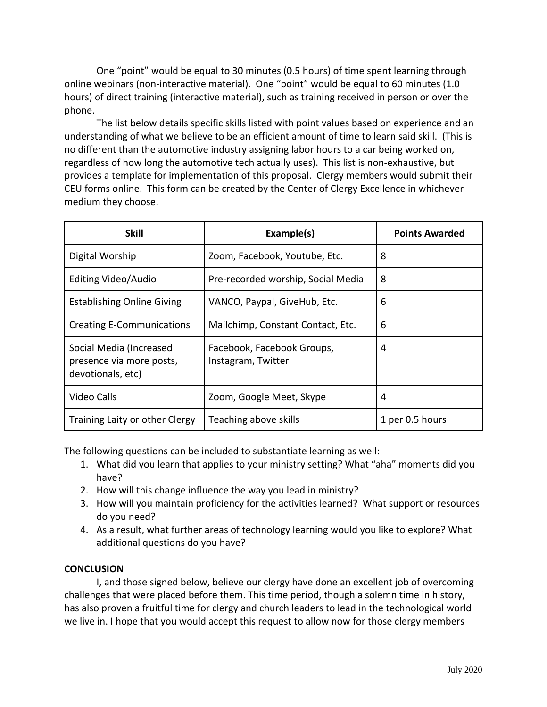One "point" would be equal to 30 minutes (0.5 hours) of time spent learning through online webinars (non‐interactive material). One "point" would be equal to 60 minutes (1.0 hours) of direct training (interactive material), such as training received in person or over the phone.

The list below details specific skills listed with point values based on experience and an understanding of what we believe to be an efficient amount of time to learn said skill. (This is no different than the automotive industry assigning labor hours to a car being worked on, regardless of how long the automotive tech actually uses). This list is non‐exhaustive, but provides a template for implementation of this proposal. Clergy members would submit their CEU forms online. This form can be created by the Center of Clergy Excellence in whichever medium they choose.

| <b>Skill</b>                                                             | Example(s)                                       | <b>Points Awarded</b> |
|--------------------------------------------------------------------------|--------------------------------------------------|-----------------------|
| Digital Worship                                                          | Zoom, Facebook, Youtube, Etc.                    | 8                     |
| Editing Video/Audio                                                      | Pre-recorded worship, Social Media               | 8                     |
| <b>Establishing Online Giving</b>                                        | VANCO, Paypal, GiveHub, Etc.                     | 6                     |
| <b>Creating E-Communications</b>                                         | Mailchimp, Constant Contact, Etc.                | 6                     |
| Social Media (Increased<br>presence via more posts,<br>devotionals, etc) | Facebook, Facebook Groups,<br>Instagram, Twitter | 4                     |
| Video Calls                                                              | Zoom, Google Meet, Skype                         | 4                     |
| Training Laity or other Clergy                                           | Teaching above skills                            | 1 per 0.5 hours       |

The following questions can be included to substantiate learning as well:

- 1. What did you learn that applies to your ministry setting? What "aha" moments did you have?
- 2. How will this change influence the way you lead in ministry?
- 3. How will you maintain proficiency for the activities learned? What support or resources do you need?
- 4. As a result, what further areas of technology learning would you like to explore? What additional questions do you have?

## **CONCLUSION**

I, and those signed below, believe our clergy have done an excellent job of overcoming challenges that were placed before them. This time period, though a solemn time in history, has also proven a fruitful time for clergy and church leaders to lead in the technological world we live in. I hope that you would accept this request to allow now for those clergy members